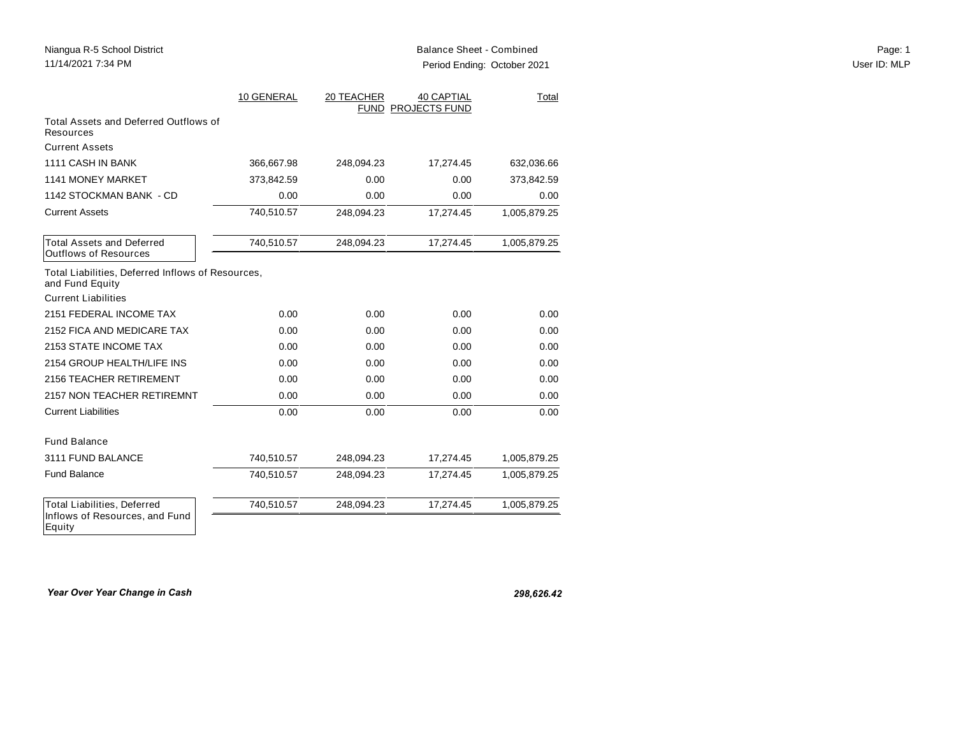|                                                                      | 10 GENERAL | 20 TEACHER | <b>40 CAPTIAL</b><br>FUND PROJECTS FUND | Total        |
|----------------------------------------------------------------------|------------|------------|-----------------------------------------|--------------|
| Total Assets and Deferred Outflows of<br>Resources                   |            |            |                                         |              |
| <b>Current Assets</b>                                                |            |            |                                         |              |
| 1111 CASH IN BANK                                                    | 366,667.98 | 248,094.23 | 17,274.45                               | 632,036.66   |
| <b>1141 MONEY MARKET</b>                                             | 373,842.59 | 0.00       | 0.00                                    | 373,842.59   |
| 1142 STOCKMAN BANK - CD                                              | 0.00       | 0.00       | 0.00                                    | 0.00         |
| <b>Current Assets</b>                                                | 740,510.57 | 248,094.23 | 17,274.45                               | 1,005,879.25 |
| <b>Total Assets and Deferred</b><br><b>Outflows of Resources</b>     | 740,510.57 | 248,094.23 | 17,274.45                               | 1,005,879.25 |
| Total Liabilities, Deferred Inflows of Resources,<br>and Fund Equity |            |            |                                         |              |
| <b>Current Liabilities</b>                                           |            |            |                                         |              |
| 2151 FEDERAL INCOME TAX                                              | 0.00       | 0.00       | 0.00                                    | 0.00         |
| 2152 FICA AND MEDICARE TAX                                           | 0.00       | 0.00       | 0.00                                    | 0.00         |
| 2153 STATE INCOME TAX                                                | 0.00       | 0.00       | 0.00                                    | 0.00         |
| 2154 GROUP HEALTH/LIFE INS                                           | 0.00       | 0.00       | 0.00                                    | 0.00         |
| 2156 TEACHER RETIREMENT                                              | 0.00       | 0.00       | 0.00                                    | 0.00         |
| 2157 NON TEACHER RETIREMNT                                           | 0.00       | 0.00       | 0.00                                    | 0.00         |
| <b>Current Liabilities</b>                                           | 0.00       | 0.00       | 0.00                                    | 0.00         |
| <b>Fund Balance</b>                                                  |            |            |                                         |              |
| 3111 FUND BALANCE                                                    | 740,510.57 | 248,094.23 | 17,274.45                               | 1,005,879.25 |
| <b>Fund Balance</b>                                                  | 740,510.57 | 248,094.23 | 17,274.45                               | 1,005,879.25 |
| <b>Total Liabilities, Deferred</b><br>Inflows of Resources, and Fund | 740,510.57 | 248,094.23 | 17,274.45                               | 1,005,879.25 |
| Equity                                                               |            |            |                                         |              |

*Year Over Year Change in Cash 298,626.42*